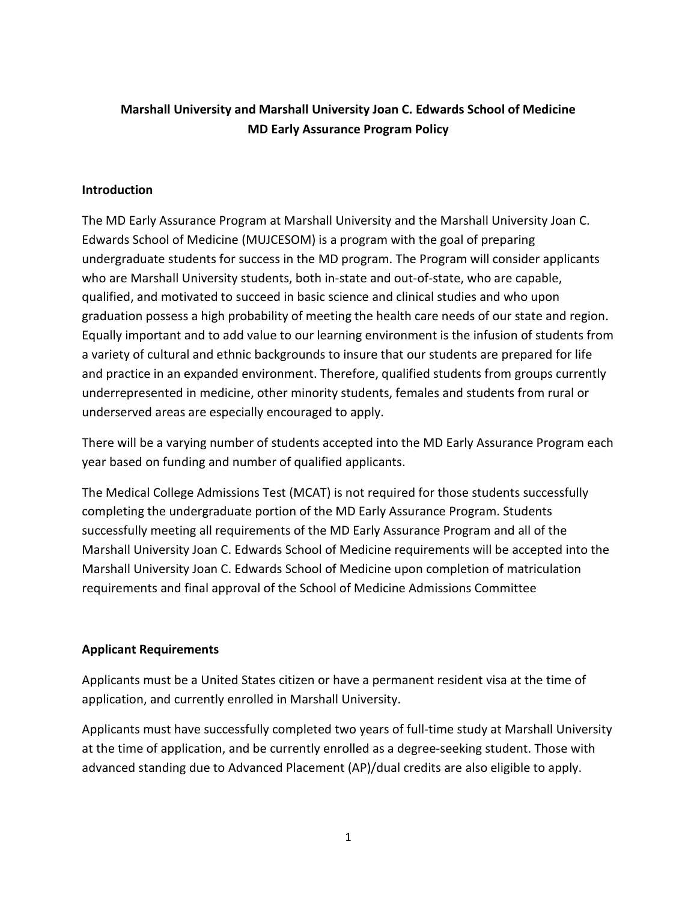# **Marshall University and Marshall University Joan C. Edwards School of Medicine MD Early Assurance Program Policy**

### **Introduction**

The MD Early Assurance Program at Marshall University and the Marshall University Joan C. Edwards School of Medicine (MUJCESOM) is a program with the goal of preparing undergraduate students for success in the MD program. The Program will consider applicants who are Marshall University students, both in-state and out-of-state, who are capable, qualified, and motivated to succeed in basic science and clinical studies and who upon graduation possess a high probability of meeting the health care needs of our state and region. Equally important and to add value to our learning environment is the infusion of students from a variety of cultural and ethnic backgrounds to insure that our students are prepared for life and practice in an expanded environment. Therefore, qualified students from groups currently underrepresented in medicine, other minority students, females and students from rural or underserved areas are especially encouraged to apply.

There will be a varying number of students accepted into the MD Early Assurance Program each year based on funding and number of qualified applicants.

The Medical College Admissions Test (MCAT) is not required for those students successfully completing the undergraduate portion of the MD Early Assurance Program. Students successfully meeting all requirements of the MD Early Assurance Program and all of the Marshall University Joan C. Edwards School of Medicine requirements will be accepted into the Marshall University Joan C. Edwards School of Medicine upon completion of matriculation requirements and final approval of the School of Medicine Admissions Committee

### **Applicant Requirements**

Applicants must be a United States citizen or have a permanent resident visa at the time of application, and currently enrolled in Marshall University.

Applicants must have successfully completed two years of full-time study at Marshall University at the time of application, and be currently enrolled as a degree-seeking student. Those with advanced standing due to Advanced Placement (AP)/dual credits are also eligible to apply.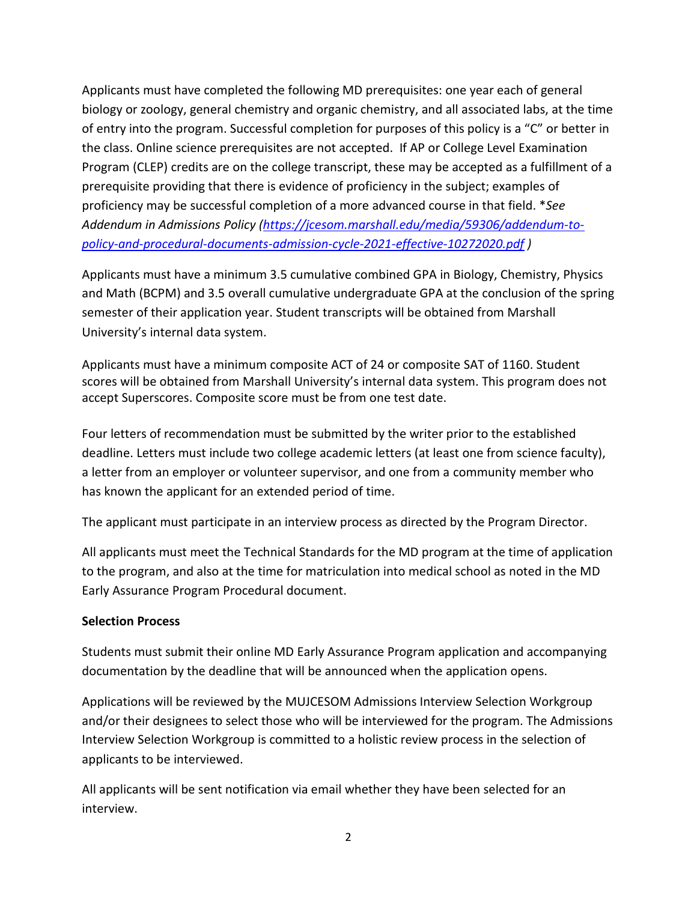Applicants must have completed the following MD prerequisites: one year each of general biology or zoology, general chemistry and organic chemistry, and all associated labs, at the time of entry into the program. Successful completion for purposes of this policy is a "C" or better in the class. Online science prerequisites are not accepted. If AP or College Level Examination Program (CLEP) credits are on the college transcript, these may be accepted as a fulfillment of a prerequisite providing that there is evidence of proficiency in the subject; examples of proficiency may be successful completion of a more advanced course in that field. \**See Addendum in Admissions Policy [\(https://jcesom.marshall.edu/media/59306/addendum-to](https://jcesom.marshall.edu/media/59306/addendum-to-policy-and-procedural-documents-admission-cycle-2021-effective-10272020.pdf)[policy-and-procedural-documents-admission-cycle-2021-effective-10272020.pdf](https://jcesom.marshall.edu/media/59306/addendum-to-policy-and-procedural-documents-admission-cycle-2021-effective-10272020.pdf) )*

Applicants must have a minimum 3.5 cumulative combined GPA in Biology, Chemistry, Physics and Math (BCPM) and 3.5 overall cumulative undergraduate GPA at the conclusion of the spring semester of their application year. Student transcripts will be obtained from Marshall University's internal data system.

Applicants must have a minimum composite ACT of 24 or composite SAT of 1160. Student scores will be obtained from Marshall University's internal data system. This program does not accept Superscores. Composite score must be from one test date.

Four letters of recommendation must be submitted by the writer prior to the established deadline. Letters must include two college academic letters (at least one from science faculty), a letter from an employer or volunteer supervisor, and one from a community member who has known the applicant for an extended period of time.

The applicant must participate in an interview process as directed by the Program Director.

All applicants must meet the Technical Standards for the MD program at the time of application to the program, and also at the time for matriculation into medical school as noted in the MD Early Assurance Program Procedural document.

## **Selection Process**

Students must submit their online MD Early Assurance Program application and accompanying documentation by the deadline that will be announced when the application opens.

Applications will be reviewed by the MUJCESOM Admissions Interview Selection Workgroup and/or their designees to select those who will be interviewed for the program. The Admissions Interview Selection Workgroup is committed to a holistic review process in the selection of applicants to be interviewed.

All applicants will be sent notification via email whether they have been selected for an interview.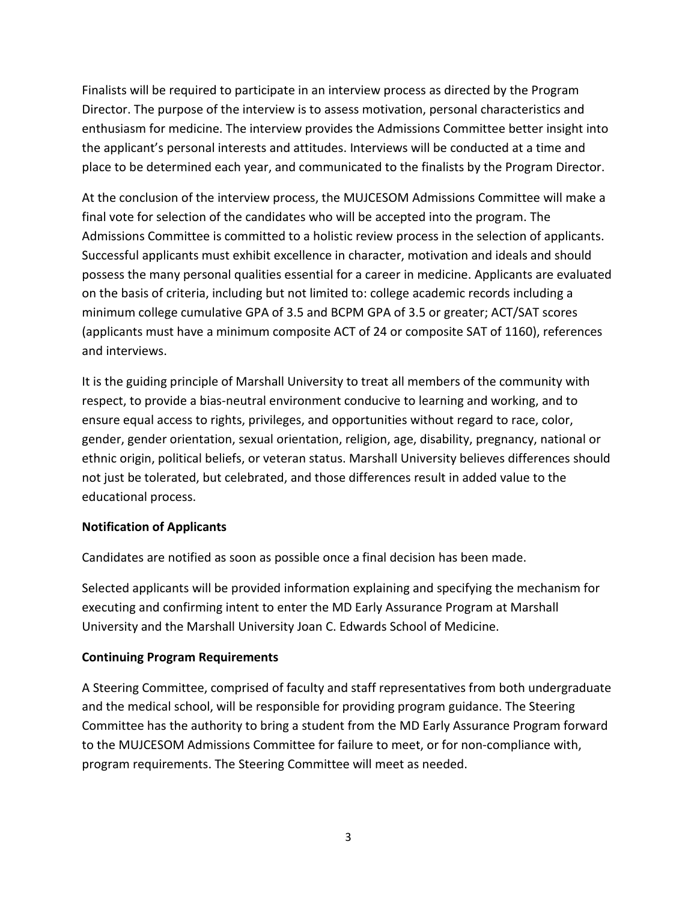Finalists will be required to participate in an interview process as directed by the Program Director. The purpose of the interview is to assess motivation, personal characteristics and enthusiasm for medicine. The interview provides the Admissions Committee better insight into the applicant's personal interests and attitudes. Interviews will be conducted at a time and place to be determined each year, and communicated to the finalists by the Program Director.

At the conclusion of the interview process, the MUJCESOM Admissions Committee will make a final vote for selection of the candidates who will be accepted into the program. The Admissions Committee is committed to a holistic review process in the selection of applicants. Successful applicants must exhibit excellence in character, motivation and ideals and should possess the many personal qualities essential for a career in medicine. Applicants are evaluated on the basis of criteria, including but not limited to: college academic records including a minimum college cumulative GPA of 3.5 and BCPM GPA of 3.5 or greater; ACT/SAT scores (applicants must have a minimum composite ACT of 24 or composite SAT of 1160), references and interviews.

It is the guiding principle of Marshall University to treat all members of the community with respect, to provide a bias-neutral environment conducive to learning and working, and to ensure equal access to rights, privileges, and opportunities without regard to race, color, gender, gender orientation, sexual orientation, religion, age, disability, pregnancy, national or ethnic origin, political beliefs, or veteran status. Marshall University believes differences should not just be tolerated, but celebrated, and those differences result in added value to the educational process.

### **Notification of Applicants**

Candidates are notified as soon as possible once a final decision has been made.

Selected applicants will be provided information explaining and specifying the mechanism for executing and confirming intent to enter the MD Early Assurance Program at Marshall University and the Marshall University Joan C. Edwards School of Medicine.

### **Continuing Program Requirements**

A Steering Committee, comprised of faculty and staff representatives from both undergraduate and the medical school, will be responsible for providing program guidance. The Steering Committee has the authority to bring a student from the MD Early Assurance Program forward to the MUJCESOM Admissions Committee for failure to meet, or for non-compliance with, program requirements. The Steering Committee will meet as needed.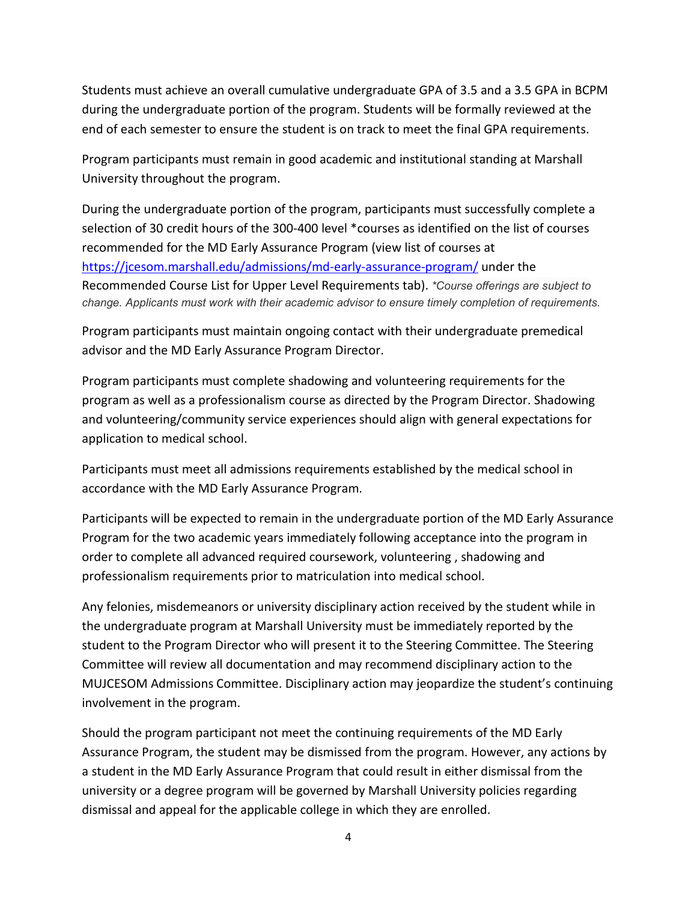Students must achieve an overall cumulative undergraduate GPA of 3.5 and a 3.5 GPA in BCPM during the undergraduate portion of the program. Students will be formally reviewed at the end of each semester to ensure the student is on track to meet the final GPA requirements.

Program participants must remain in good academic and institutional standing at Marshall University throughout the program.

During the undergraduate portion of the program, participants must successfully complete a selection of 30 credit hours of the 300-400 level \*courses as identified on the list of courses recommended for the MD Early Assurance Program (view list of courses at <https://jcesom.marshall.edu/admissions/md-early-assurance-program/> under the Recommended Course List for Upper Level Requirements tab). *\*Course offerings are subject to change. Applicants must work with their academic advisor to ensure timely completion of requirements.*

Program participants must maintain ongoing contact with their undergraduate premedical advisor and the MD Early Assurance Program Director.

Program participants must complete shadowing and volunteering requirements for the program as well as a professionalism course as directed by the Program Director. Shadowing and volunteering/community service experiences should align with general expectations for application to medical school.

Participants must meet all admissions requirements established by the medical school in accordance with the MD Early Assurance Program.

Participants will be expected to remain in the undergraduate portion of the MD Early Assurance Program for the two academic years immediately following acceptance into the program in order to complete all advanced required coursework, volunteering , shadowing and professionalism requirements prior to matriculation into medical school.

Any felonies, misdemeanors or university disciplinary action received by the student while in the undergraduate program at Marshall University must be immediately reported by the student to the Program Director who will present it to the Steering Committee. The Steering Committee will review all documentation and may recommend disciplinary action to the MUJCESOM Admissions Committee. Disciplinary action may jeopardize the student's continuing involvement in the program.

Should the program participant not meet the continuing requirements of the MD Early Assurance Program, the student may be dismissed from the program. However, any actions by a student in the MD Early Assurance Program that could result in either dismissal from the university or a degree program will be governed by Marshall University policies regarding dismissal and appeal for the applicable college in which they are enrolled.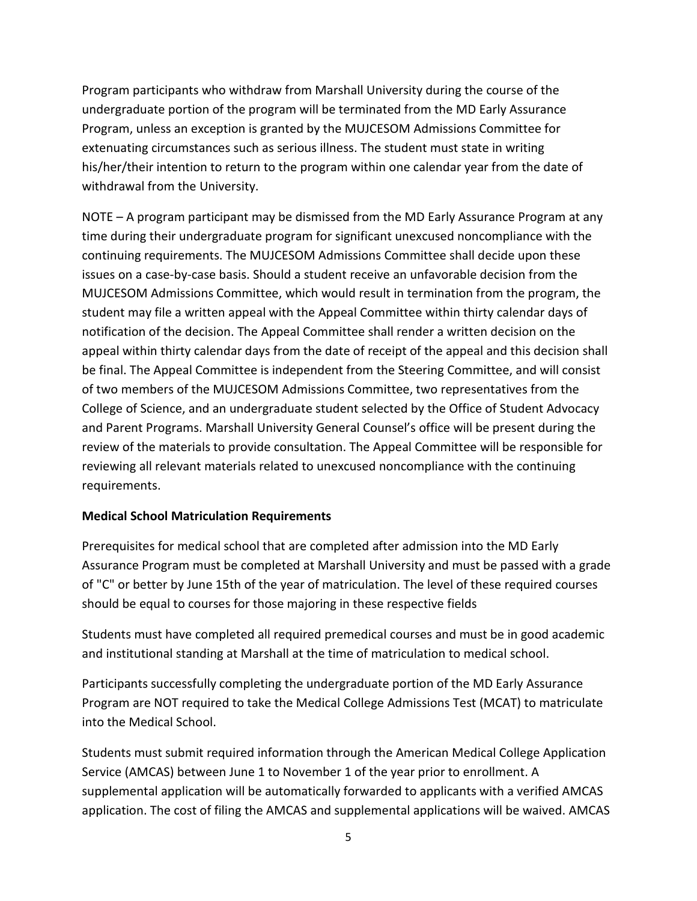Program participants who withdraw from Marshall University during the course of the undergraduate portion of the program will be terminated from the MD Early Assurance Program, unless an exception is granted by the MUJCESOM Admissions Committee for extenuating circumstances such as serious illness. The student must state in writing his/her/their intention to return to the program within one calendar year from the date of withdrawal from the University.

NOTE – A program participant may be dismissed from the MD Early Assurance Program at any time during their undergraduate program for significant unexcused noncompliance with the continuing requirements. The MUJCESOM Admissions Committee shall decide upon these issues on a case-by-case basis. Should a student receive an unfavorable decision from the MUJCESOM Admissions Committee, which would result in termination from the program, the student may file a written appeal with the Appeal Committee within thirty calendar days of notification of the decision. The Appeal Committee shall render a written decision on the appeal within thirty calendar days from the date of receipt of the appeal and this decision shall be final. The Appeal Committee is independent from the Steering Committee, and will consist of two members of the MUJCESOM Admissions Committee, two representatives from the College of Science, and an undergraduate student selected by the Office of Student Advocacy and Parent Programs. Marshall University General Counsel's office will be present during the review of the materials to provide consultation. The Appeal Committee will be responsible for reviewing all relevant materials related to unexcused noncompliance with the continuing requirements.

## **Medical School Matriculation Requirements**

Prerequisites for medical school that are completed after admission into the MD Early Assurance Program must be completed at Marshall University and must be passed with a grade of "C" or better by June 15th of the year of matriculation. The level of these required courses should be equal to courses for those majoring in these respective fields

Students must have completed all required premedical courses and must be in good academic and institutional standing at Marshall at the time of matriculation to medical school.

Participants successfully completing the undergraduate portion of the MD Early Assurance Program are NOT required to take the Medical College Admissions Test (MCAT) to matriculate into the Medical School.

Students must submit required information through the American Medical College Application Service (AMCAS) between June 1 to November 1 of the year prior to enrollment. A supplemental application will be automatically forwarded to applicants with a verified AMCAS application. The cost of filing the AMCAS and supplemental applications will be waived. AMCAS